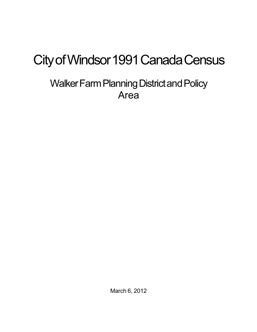# City of Windsor 1991 Canada Census

## Walker Farm Planning District and Policy Area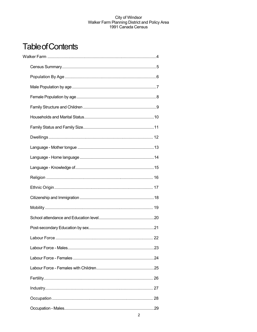## **Table of Contents**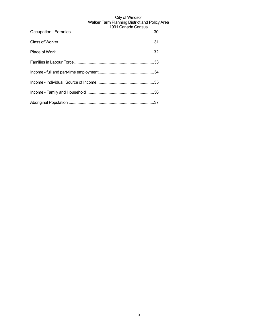| $1331$ Cariqua Cerisus |
|------------------------|
|                        |
|                        |
|                        |
|                        |
|                        |
|                        |
|                        |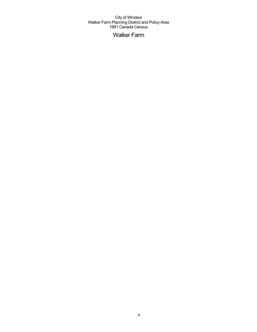## Walker Farm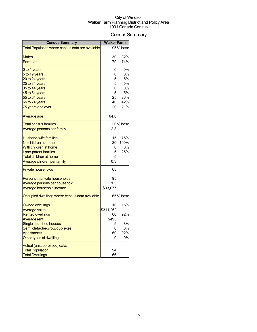## Census Summary

| <b>Census Summary</b>                                  | <b>Walker Farm</b> |           |
|--------------------------------------------------------|--------------------|-----------|
| Total Population where census data are available       |                    | 95 % base |
|                                                        |                    |           |
| <b>Males</b>                                           | 30                 | 32%       |
| <b>Females</b>                                         | 70                 | 74%       |
| 0 to 4 years                                           | 0                  | 0%        |
| 5 to 19 years                                          |                    | 0%        |
| 20 to 24 years                                         |                    | 5%        |
| 25 to 34 years                                         | 5                  | 5%        |
| 35 to 44 years                                         | С                  | 0%        |
| 45 to 54 years                                         | 25                 | 5%<br>26% |
| 55 to 64 years<br>65 to 74 years                       | 40                 | 42%       |
| 75 years and over                                      | 20                 | 21%       |
|                                                        |                    |           |
| Average age                                            | 64.8               |           |
| <b>Total census families</b>                           |                    | 20 % base |
| Average persons per family                             | 2.3                |           |
| <b>Husband-wife families</b>                           | 15                 | 75%       |
| No children at home                                    | 20                 | 100%      |
| With children at home                                  | 0                  | 0%        |
| Lone-parent families                                   |                    | 25%       |
| Total children at home                                 |                    |           |
| Average children per family                            | 0.3                |           |
| <b>Private households</b>                              | 65                 |           |
| Persons in private households                          | 95                 |           |
| Average persons per household                          | 1.5                |           |
| Average household income                               | \$33,077           |           |
| Occupied dwellings where census data available         |                    | 65 % base |
|                                                        |                    |           |
| <b>Owned dwellings</b>                                 | 10                 | 15%       |
| <b>Average value</b>                                   | \$311,262          |           |
| <b>Rented dwellings</b>                                | 60                 | 92%       |
| <b>Average rent</b><br>Single detached houses          | \$493              | 8%        |
| Semi-detached/row/duplexes                             | C                  | 0%        |
| <b>Apartments</b>                                      | 60                 | 92%       |
| Other types of dwelling                                | C                  | 0%        |
|                                                        |                    |           |
| Actual (unsuppressed) data:<br><b>Total Population</b> | 94                 |           |
| <b>Total Dwellings</b>                                 | 66                 |           |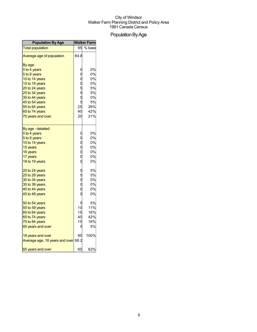## Population By Age

| <b>Population By Age</b>            | <b>Walker Farm</b> |        |
|-------------------------------------|--------------------|--------|
| <b>Total population</b>             | 95                 | % base |
| Average age of population           | 64.8               |        |
| By age:                             |                    |        |
| 0 to 4 years                        |                    | 0%     |
| 5 to 9 years                        |                    | 0%     |
| 10 to 14 years                      |                    | 0%     |
| 15 to 19 years                      |                    | 0%     |
| 20 to 24 years                      | 000550             | 5%     |
| 25 to 34 years                      |                    | 5%     |
| 35 to 44 years                      |                    | 0%     |
| 45 to 54 years                      | 5                  | 5%     |
| 55 to 64 years                      | 25                 | 26%    |
| 65 to 74 years                      | 40                 | 42%    |
| 75 years and over                   | 20                 | 21%    |
| By age - detailed:                  |                    |        |
| 0 to 4 years                        | $\mathbf{0}$       | 0%     |
| 5 to 9 years                        |                    | 0%     |
| 10 to 14 years                      | 。。。。。              | 0%     |
| 15 years                            |                    | 0%     |
| 16 years                            |                    | 0%     |
| 17 years                            |                    | 0%     |
| 18 to 19 years                      |                    | 0%     |
| 20 to 24 years                      | 5<br>0<br>0<br>0   | 5%     |
| 25 to 29 years                      |                    | 5%     |
| 30 to 34 years                      |                    | 0%     |
| 35 to 39 years                      |                    | 0%     |
| 40 to 44 years                      | $\overline{0}$     | 0%     |
| 45 to 49 years                      | Ó                  | 0%     |
| 50 to 54 years                      | 5                  | 5%     |
| 55 to 59 years                      | 10                 | 11%    |
| 60 to 64 years                      | 15                 | 16%    |
| 65 to 74 years                      | 40                 | 42%    |
| 75 to 84 years                      | 15                 | 16%    |
| 85 years and over                   | 5                  | 5%     |
| 18 years and over                   | 95                 | 100%   |
| Average age, 18 years and over 68.2 |                    |        |
| 65 years and over                   | 60                 | 63%    |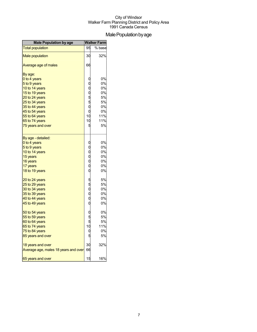## Male Population by age

| <b>Male Population by age</b>        |                       | <b>Walker Farm</b> |
|--------------------------------------|-----------------------|--------------------|
| <b>Total population</b>              | 95                    | % base             |
| <b>Male population</b>               | 30                    | 32%                |
| Average age of males                 | 66                    |                    |
| By age:                              |                       |                    |
| 0 to 4 years                         |                       | 0%                 |
| 5 to 9 years                         |                       | 0%                 |
| 10 to 14 years                       |                       | 0%                 |
| 15 to 19 years                       | 0005500               | 0%                 |
| 20 to 24 years                       |                       | 5%                 |
| 25 to 34 years                       |                       | 5%                 |
| 35 to 44 years                       |                       | 0%                 |
| 45 to 54 years                       |                       | 0%                 |
| 55 to 64 years                       | 10                    | 11%                |
| 65 to 74 years                       | 10                    | 11%                |
| 75 years and over                    | 5                     | 5%                 |
| By age - detailed:                   |                       |                    |
| 0 to 4 years                         |                       | 0%                 |
| 5 to 9 years                         | 0 0 0 0<br>0 0 0<br>0 | 0%                 |
| 10 to 14 years                       |                       | 0%                 |
| 15 years                             |                       | 0%                 |
| 16 years                             |                       | 0%                 |
| 17 years                             |                       | 0%                 |
| 18 to 19 years                       |                       | 0%                 |
| 20 to 24 years                       |                       | 5%                 |
| 25 to 29 years                       | 55000                 | 5%                 |
| 30 to 34 years                       |                       | 0%                 |
| 35 to 39 years                       |                       | 0%                 |
| 40 to 44 years                       |                       | 0%                 |
| 45 to 49 years                       |                       | 0%                 |
| 50 to 54 years                       | 0<br>5<br>10<br>10    | 0%                 |
| 55 to 59 years                       |                       | 5%                 |
| 60 to 64 years                       |                       | 5%                 |
| 65 to 74 years                       |                       | 11%                |
| 75 to 84 years                       |                       | 0%                 |
| 85 years and over                    |                       | 5%                 |
| 18 years and over                    | 30                    | 32%                |
| Average age, males 18 years and over | 66                    |                    |
| 65 years and over                    | 15                    | 16%                |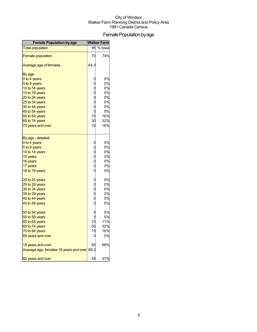## Female Population by age

| <b>Female Population by age</b>        | <b>Walker Farm</b>  |        |
|----------------------------------------|---------------------|--------|
| <b>Total population</b>                | 95                  | % base |
| <b>Female population</b>               | 70                  | 74%    |
| Average age of females                 | 64.3                |        |
| By age:                                |                     |        |
| 0 to 4 years                           |                     | 0%     |
| 5 to 9 years                           |                     | 0%     |
| 10 to 14 years                         | 00005               | 0%     |
| 15 to 19 years                         |                     | 0%     |
| 20 to 24 years                         |                     | 0%     |
| 25 to 34 years                         |                     | 0%     |
| 35 to 44 years                         |                     | 0%     |
| 45 to 54 years                         |                     | 5%     |
| 55 to 64 years                         | 15                  | 16%    |
| 65 to 74 years                         | 30                  | 32%    |
| 75 years and over                      | 15                  | 16%    |
| By age - detailed:                     |                     |        |
| 0 to 4 years                           |                     | 0%     |
| 5 to 9 years                           | 0000000             | 0%     |
| 10 to 14 years                         |                     | 0%     |
| 15 years                               |                     | 0%     |
| 16 years                               |                     | 0%     |
| 17 years                               |                     | 0%     |
| 18 to 19 years                         |                     | 0%     |
| 20 to 24 years                         |                     | 0%     |
| 25 to 29 years                         | 0 0 0<br>0 0 0<br>0 | 0%     |
| 30 to 34 years                         |                     | 0%     |
| 35 to 39 years                         |                     | 0%     |
| 40 to 44 years                         |                     | 0%     |
| 45 to 49 years                         |                     | 0%     |
| 50 to 54 years                         |                     | 5%     |
| 55 to 59 years                         | 5<br>5              | 5%     |
| 60 to 64 years                         | 10                  | 11%    |
| 65 to 74 years                         | 30                  | 32%    |
| 75 to 84 years                         | 15                  | 16%    |
| 85 years and over                      |                     | 0%     |
| 18 years and over                      | 65                  | 68%    |
| Average age, females 18 years and over | 69.2                |        |
| 65 years and over                      | 45                  | 47%    |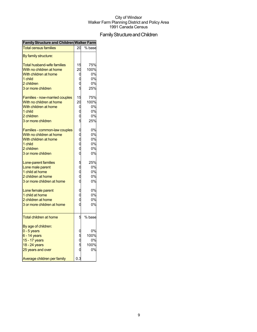## Family Structure and Children

| <b>Family Structure and Children Walker Farm</b> |                       |        |
|--------------------------------------------------|-----------------------|--------|
| <b>Total census families</b>                     | 20                    | % base |
| By family structure:                             |                       |        |
| Total husband-wife families                      | 15                    | 75%    |
| With no children at home                         | 20                    | 100%   |
| With children at home                            | 0                     | 0%     |
| 1 child                                          |                       | 0%     |
| 2 children                                       |                       | 0%     |
| 3 or more children                               | 5                     | 25%    |
| <b>Families - now-married couples</b>            | 15                    | 75%    |
| With no children at home                         | 20                    | 100%   |
| With children at home                            | 0                     | 0%     |
| 1 child                                          |                       | 0%     |
| 2 children                                       | 0<br>0                | 0%     |
| 3 or more children                               | 5                     | 25%    |
| <b>Families - common-law couples</b>             |                       | 0%     |
| With no children at home                         |                       | 0%     |
| With children at home                            |                       | 0%     |
| 1 child                                          |                       | 0%     |
| 2 children                                       |                       | 0%     |
| 3 or more children                               | o<br>o<br>o<br>o      | 0%     |
| Lone-parent families                             |                       | 25%    |
| Lone male parent                                 |                       | 0%     |
| 1 child at home                                  | 5<br>0<br>0<br>0      | 0%     |
| 2 children at home                               |                       | 0%     |
| 3 or more children at home                       | $\overline{0}$        | 0%     |
| Lone female parent                               |                       | 0%     |
| 1 child at home                                  | 0<br>0                | 0%     |
| 2 children at home                               | $\overline{0}$        | 0%     |
| 3 or more children at home                       |                       | 0%     |
| <b>Total children at home</b>                    | 5                     | % base |
| By age of children:                              |                       |        |
| $0 - 5$ years                                    |                       | 0%     |
| $6 - 14$ years                                   |                       | 100%   |
| 15 - 17 years                                    |                       | 0%     |
| 18 - 24 years                                    |                       | 100%   |
| 25 years and over                                | 0<br>0<br>5<br>0<br>5 | 0%     |
| Average children per family                      | 0.3                   |        |
|                                                  |                       |        |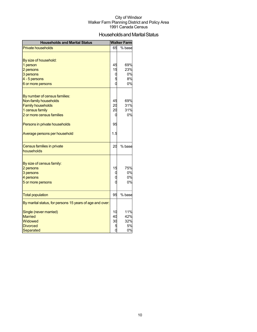## Households and Marital Status

| <b>Households and Marital Status</b>                     |     | <b>Walker Farm</b> |
|----------------------------------------------------------|-----|--------------------|
| <b>Private households</b>                                | 65  | % base             |
|                                                          |     |                    |
| By size of household:                                    |     |                    |
| 1 person                                                 | 45  | 69%                |
| 2 persons                                                | 15  | 23%                |
| 3 persons                                                | C   | 0%                 |
| 4 - 5 persons                                            |     | 8%                 |
| 6 or more persons                                        |     | 0%                 |
|                                                          |     |                    |
| By number of census families:                            |     |                    |
| Non-family households                                    | 45  | 69%                |
| <b>Family households</b>                                 | 20  | 31%<br>31%         |
| 1 census family                                          | 20  | 0%                 |
| 2 or more census families                                | C   |                    |
| Persons in private households                            | 95  |                    |
| Average persons per household                            | 1.5 |                    |
|                                                          |     |                    |
| <b>Census families in private</b>                        | 20  | % base             |
| households                                               |     |                    |
|                                                          |     |                    |
| By size of census family:<br>2 persons                   | 15  | 75%                |
| 3 persons                                                |     | 0%                 |
| 4 persons                                                |     | 0%                 |
| 5 or more persons                                        |     | 0%                 |
|                                                          |     |                    |
| <b>Total population</b>                                  | 95  | % base             |
| By marital status, for persons 15 years of age and over: |     |                    |
| Single (never married)                                   | 10  | 11%                |
| <b>Married</b>                                           | 40  | 42%                |
| Widowed                                                  | 3C  | 32%                |
| <b>Divorced</b>                                          |     | 5%                 |
| Separated                                                | 0   | 0%                 |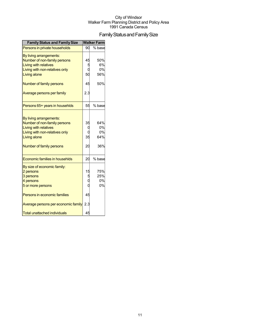## Family Status and Family Size

| <b>Family Status and Family Size</b>                                                                                                                                  |                | <b>Walker Farm</b>            |
|-----------------------------------------------------------------------------------------------------------------------------------------------------------------------|----------------|-------------------------------|
| Persons in private households                                                                                                                                         | 90             | % base                        |
| By living arrangements:<br>Number of non-family persons<br><b>Living with relatives</b><br>Living with non-relatives only<br>Living alone                             | 45<br>50       | 50%<br>6%<br>0%<br>56%        |
| Number of family persons                                                                                                                                              | 45             | 50%                           |
| Average persons per family                                                                                                                                            | 2.3            |                               |
| Persons 65+ years in househlds                                                                                                                                        | 55             | % base                        |
| By living arrangements:<br>Number of non-family persons<br><b>Living with relatives</b><br>Living with non-relatives only<br>Living alone<br>Number of family persons | 35<br>35<br>20 | 64%<br>0%<br>0%<br>64%<br>36% |
| Economic families in househlds                                                                                                                                        | 20             | % base                        |
| By size of economic family:<br>2 persons<br>3 persons<br>4 persons<br>5 or more persons                                                                               | 15             | 75%<br>25%<br>0%<br>0%        |
| Persons in economic families                                                                                                                                          | 45             |                               |
| Average persons per economic family<br><b>Total unattached individuals</b>                                                                                            | 2.3<br>45      |                               |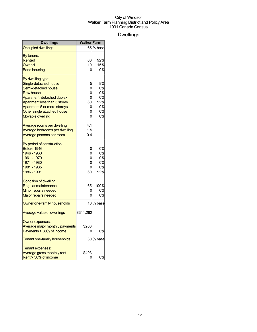## Dwellings

| Dwellings                      | <b>Walker Farm</b> |           |
|--------------------------------|--------------------|-----------|
| <b>Occupied dwellings</b>      |                    | 65 % base |
| By tenure:                     |                    |           |
| Rented                         | 60                 | 92%       |
| Owned                          | 10                 | 15%       |
| <b>Band housing</b>            | 0                  | 0%        |
| By dwelling type:              |                    |           |
| Single-detached house          |                    | 8%        |
| Semi-detached house            | $\rm\dot{0}$       | 0%        |
| <b>Row house</b>               |                    | 0%        |
| Apartment, detached duplex     |                    | 0%        |
| Apartment less than 5 storey   | 60                 | 92%       |
| Apartment 5 or more storeys    | 0                  | 0%        |
| Other single attached house    | Ó                  | 0%        |
| <b>Movable dwelling</b>        | O                  | 0%        |
| Average rooms per dwelling     | 4.1                |           |
| Average bedrooms per dwelling  | 1.5                |           |
| Average persons per room       | 0.4                |           |
| By period of construction      |                    |           |
| Before 1946                    | 0                  | 0%        |
| 1946 - 1960                    |                    | 0%        |
| 1961 - 1970                    |                    | 0%        |
| 1971 - 1980                    |                    | 0%        |
| 1981 - 1985                    | $\overline{0}$     | 0%        |
| 1986 - 1991                    | 60                 | 92%       |
| Condition of dwelling:         |                    |           |
| Regular maintenance            | 65                 | 100%      |
| Minor repairs needed           | 0                  | 0%        |
| <b>Major repairs needed</b>    | O                  | 0%        |
| Owner one-family households    |                    | 10 % base |
| Average value of dwellings     | \$311,262          |           |
| Owner expenses:                |                    |           |
| Average major monthly payments | \$263              |           |
| Payments > 30% of income       | 0                  | 0%        |
| Tenant one-family households   |                    | 30 % base |
| Tenant expenses:               |                    |           |
| Average gross monthly rent     | \$493              |           |
| Rent > 30% of income           |                    | 0%        |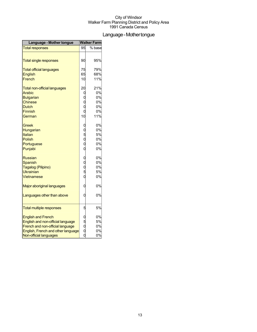## Language - Mother tongue

| Language - Mother tongue            |                       | <b>Walker Farm</b> |
|-------------------------------------|-----------------------|--------------------|
| <b>Total responses</b>              | 95                    | % base             |
|                                     |                       |                    |
| <b>Total single responses</b>       | 90                    | 95%                |
| <b>Total official languages</b>     | 75                    | 79%                |
| <b>English</b>                      | 65                    | 68%                |
| French                              | 10                    | 11%                |
| <b>Total non-official languages</b> | 20                    | 21%                |
| Arabic                              | 0                     | 0%                 |
| <b>Bulgarian</b>                    |                       | 0%                 |
| <b>Chinese</b>                      | 0<br>0<br>0           | 0%                 |
| <b>Dutch</b>                        |                       | 0%                 |
| <b>Finnish</b>                      | $\overline{0}$        | 0%                 |
| German                              | 10                    | 11%                |
| Greek                               |                       | 0%                 |
| Hungarian                           |                       | 0%                 |
| Italian                             | 0 0 0 0<br>0 0 0      | 5%                 |
| Polish                              |                       | 0%                 |
| Portuguese                          |                       | 0%                 |
| Punjabi                             |                       | 0%                 |
| <b>Russian</b>                      |                       | 0%                 |
| <b>Spanish</b>                      |                       | 0%                 |
| Tagalog (Pilipino)                  |                       | 0%                 |
| Ukrainian                           | oooo                  | 5%                 |
| Vietnamese                          |                       | 0%                 |
| Major aboriginal languages          | 0                     | 0%                 |
| Languages other than above          | 0                     | 0%                 |
| <b>Total multiple responses</b>     | 5                     | 5%                 |
| <b>English and French</b>           |                       | 0%                 |
| English and non-official language   |                       | 5%                 |
| French and non-official language    |                       | 0%                 |
| English, French and other language  | 0<br>0<br>0<br>0<br>0 | 0%                 |
| Non-official languages              |                       | 0%                 |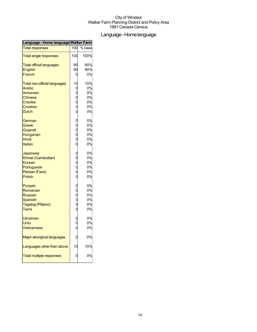## Language-Homelanguage

| Language - Home language Walker Farm |                       |        |
|--------------------------------------|-----------------------|--------|
| <b>Total responses</b>               | 100                   | % base |
| <b>Total single responses</b>        | 100                   | 100%   |
| <b>Total official languages</b>      | 90                    | 90%    |
| English                              | 90                    | 90%    |
| French                               | 0                     | 0%     |
| <b>Total non-official languages</b>  | 10                    | 10%    |
| <b>Arabic</b>                        | 0                     | 0%     |
| Armenian                             |                       | 0%     |
| <b>Chinese</b>                       | 0<br>0<br>0<br>0      | 0%     |
| <b>Creoles</b>                       |                       | 0%     |
| Croatian                             |                       | 0%     |
| <b>Dutch</b>                         | $\overline{0}$        | 0%     |
| German                               | O                     | 0%     |
| Greek                                |                       | 0%     |
| Gujarati                             | $0$<br>$0$<br>$0$     | 0%     |
| Hungarian                            |                       | 0%     |
| Hindi                                |                       | 0%     |
| Italian                              | $\overline{0}$        | 0%     |
| Japanese                             | C                     | 0%     |
| Khmer (Cambodian)                    |                       | 0%     |
| Korean                               | $0$<br>$0$<br>$0$     | 0%     |
| Portuguese                           |                       | 0%     |
| Persian (Farsi)                      |                       | 0%     |
| <b>Polish</b>                        | $\overline{0}$        | 0%     |
| Punjabi                              |                       | 0%     |
| Romanian                             | 0<br>0<br>0<br>0<br>0 | 0%     |
| <b>Russian</b>                       |                       | 0%     |
| Spanish                              |                       | 0%     |
| Tagalog (Pilipino)                   |                       | 0%     |
| Tamil                                |                       | 0%     |
| <b>Ukrainian</b>                     |                       | 0%     |
| Urdu                                 |                       | 0%     |
| Vietnamese                           | $\overline{0}$        | 0%     |
| Major aboriginal languages           |                       | 0%     |
| Languages other than above           | 10                    | 10%    |
| <b>Total multiple responses</b>      |                       | 0%     |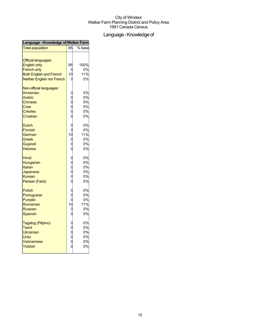## Language - Knowledge of

| Language - Knowledge of Walker Farm                                                                                                            |                                                                                   |                                   |  |
|------------------------------------------------------------------------------------------------------------------------------------------------|-----------------------------------------------------------------------------------|-----------------------------------|--|
| <b>Total population</b>                                                                                                                        | 95                                                                                | $%$ base                          |  |
| <b>Official languages:</b><br><b>English only</b><br><b>French only</b><br><b>Both English and French</b><br><b>Neither English nor French</b> | 95<br>0<br>10<br>0                                                                | 100%<br>0%<br>11%<br>0%           |  |
| Non-official languages:<br>Armenian<br>Arabic<br><b>Chinese</b><br>Cree<br><b>Creoles</b><br>Croatian                                          | oooooooooo                                                                        | 0%<br>0%<br>0%<br>0%<br>0%<br>0%  |  |
| <b>Dutch</b><br><b>Finnish</b><br>German<br>Greek<br>Gujarati<br><b>Hebrew</b>                                                                 |                                                                                   | 0%<br>0%<br>11%<br>0%<br>0%<br>0% |  |
| Hindi<br>Hungarian<br><b>Italian</b><br>Japanese<br>Korean<br>Persian (Farsi)                                                                  | 。。。。。。                                                                            | 0%<br>0%<br>0%<br>0%<br>0%<br>0%  |  |
| Polish<br>Portuguese<br>Punjabi<br>Romanian<br><b>Russian</b><br>Spanish                                                                       | $\begin{matrix}0\0\0\end{matrix}$<br>$\begin{bmatrix} 10 \\ 0 \\ 0 \end{bmatrix}$ | 0%<br>0%<br>0%<br>11%<br>0%<br>0% |  |
| Tagalog (Pilipino)<br>Tamil<br>Ukrainian<br>Urdu<br>Vietnamese<br>Yiddish                                                                      | ooooo                                                                             | 0%<br>0%<br>0%<br>0%<br>0%<br>0%  |  |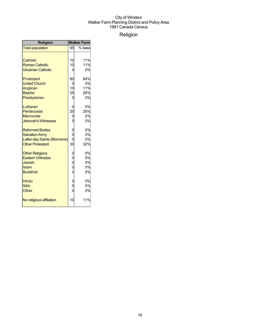## Religion

| <b>Religion</b>                                                                                           | <b>Walker Farm</b>             |                               |  |
|-----------------------------------------------------------------------------------------------------------|--------------------------------|-------------------------------|--|
| <b>Total population</b>                                                                                   | 95                             | % base                        |  |
| Catholic<br><b>Roman Catholic</b><br><b>Ukrainian Catholic</b>                                            | 10<br>10<br>0                  | 11%<br>11%<br>0%              |  |
| Protestant<br><b>United Church</b><br>Anglican<br><b>Baptist</b><br>Presbyterian                          | 80<br>0<br>10<br>25<br>0       | 84%<br>0%<br>11%<br>26%<br>0% |  |
| Lutheran<br>Pentecostal<br><b>Mennonite</b><br><b>Jehovah's Witnesses</b>                                 | 0<br>25<br>0<br>$\overline{0}$ | 0%<br>26%<br>0%<br>0%         |  |
| <b>Reformed Bodies</b><br><b>Salvation Army</b><br>Latter-day Saints (Mormons)<br><b>Other Protestant</b> | 0<br>0<br>O<br>30              | 0%<br>0%<br>0%<br>32%         |  |
| <b>Other Religions</b><br><b>Eastern Orthodox</b><br><b>Jewish</b><br>Islam<br><b>Buddhist</b>            | 0<br>0<br>0<br>0<br>0          | 0%<br>0%<br>0%<br>0%<br>0%    |  |
| Hindu<br><b>Sikh</b><br>Other                                                                             | 0<br>0<br>$\overline{0}$       | 0%<br>0%<br>0%                |  |
| No religious affiliation                                                                                  | 10                             | 11%                           |  |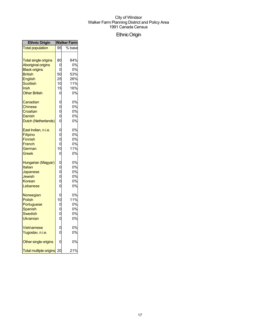## EthnicOrigin

| <b>Ethnic Origin</b>                                                                                                                                       |                                                        | Walker Farm                                       |
|------------------------------------------------------------------------------------------------------------------------------------------------------------|--------------------------------------------------------|---------------------------------------------------|
| <b>Total population</b>                                                                                                                                    | 95                                                     | % base                                            |
| <b>Total single origins</b><br><b>Aboriginal origins</b><br><b>Black origins</b><br><b>British</b><br>English<br>Scottish<br>Irish<br><b>Other British</b> | 80<br>0<br>0<br>50<br>25<br>10<br>15<br>O              | 84%<br>0%<br>0%<br>53%<br>26%<br>11%<br>16%<br>0% |
| Canadian<br>Chinese<br>Croatian<br>Danish<br>Dutch (Netherlands)                                                                                           | $\begin{matrix}0\\0\end{matrix}$<br>o o o              | 0%<br>0%<br>0%<br>0%<br>0%                        |
| East Indian, n.i.e.<br>Filipino<br><b>Finnish</b><br>French<br>German<br>Greek                                                                             | 000000<br>10<br>$\mathbf 0$                            | 0%<br>0%<br>0%<br>0%<br>11%<br>0%                 |
| Hungarian (Magyar)<br>Italian<br>Japanese<br>Jewish<br>Korean<br>Lebanese                                                                                  | 。。。。。                                                  | 0%<br>0%<br>0%<br>0%<br>0%<br>0%                  |
| Norwegian<br><b>Polish</b><br>Portuguese<br>Spanish<br>Swedish<br>Ukrainian                                                                                | 0<br>10<br>$\begin{smallmatrix}0\0\0\end{smallmatrix}$ | 0%<br>11%<br>0%<br>0%<br>0%<br>0%                 |
| <b>Vietnamese</b><br>Yugoslav, n.i.e.                                                                                                                      | $\mathbf{0}$<br>$\overline{0}$                         | 0%<br>0%                                          |
| Other single origins                                                                                                                                       | 0                                                      | 0%                                                |
| <b>Total multiple origins</b>                                                                                                                              | 20                                                     | 21%                                               |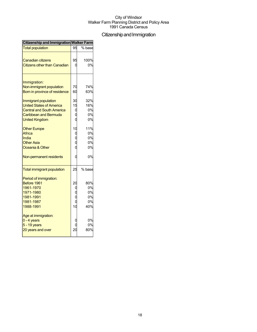## Citizenship and Immigration

| <b>Citizenship and Immigration Walker Farm</b>                                                                                                |                                   |                                    |  |
|-----------------------------------------------------------------------------------------------------------------------------------------------|-----------------------------------|------------------------------------|--|
| <b>Total population</b>                                                                                                                       | 95                                | % base                             |  |
| <b>Canadian citizens</b><br><b>Citizens other than Canadian</b>                                                                               | 95                                | 100%<br>0%                         |  |
| Immigration:<br>Non-immigrant population<br>Born in province of residence                                                                     | 70<br>60                          | 74%<br>63%                         |  |
| Immigrant population<br><b>United States of America</b><br><b>Central and South America</b><br>Caribbean and Bermuda<br><b>United Kingdom</b> | 30<br>15                          | 32%<br>16%<br>0%<br>0%<br>0%       |  |
| <b>Other Europe</b><br><b>Africa</b><br>India<br><b>Other Asia</b><br>Oceania & Other                                                         | 10                                | 11%<br>0%<br>0%<br>0%<br>0%        |  |
| Non-permanent residents                                                                                                                       | ſ                                 | 0%                                 |  |
| <b>Total immigrant population</b>                                                                                                             | 25                                | % base                             |  |
| Period of immigration:<br>Before 1961<br>1961-1970<br>1971-1980<br>1981-1991<br>1981-1987<br>1988-1991                                        | $\overline{20}$<br>1 <sup>C</sup> | 80%<br>0%<br>0%<br>0%<br>0%<br>40% |  |
| Age at immigration:<br>$0 - 4$ years<br>$5 - 19$ years<br>20 years and over                                                                   | $\overline{2}$                    | 0%<br>0%<br>80%                    |  |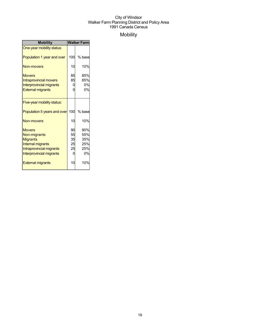## Mobility

| <b>Mobility</b>                                                                                                                      | <b>Walker Farm</b>              |                                       |  |
|--------------------------------------------------------------------------------------------------------------------------------------|---------------------------------|---------------------------------------|--|
| One-year mobility status:                                                                                                            |                                 |                                       |  |
| Population 1 year and over                                                                                                           | 100                             | % base                                |  |
| Non-movers                                                                                                                           | 10                              | 10%                                   |  |
| <b>Movers</b><br><b>Intraprovincial movers</b><br><b>Interprovincial migrants</b><br><b>External migrants</b>                        | 85<br>85<br>0<br>0              | 85%<br>85%<br>0%<br>0%                |  |
| Five-year mobility status:                                                                                                           |                                 |                                       |  |
| Population 5 years and over 100                                                                                                      |                                 | % base                                |  |
| Non-movers                                                                                                                           | 10                              | 10%                                   |  |
| <b>Movers</b><br>Non-migrants<br><b>Migrants</b><br>Internal migrants<br>Intraprovincial migrants<br><b>Interprovincial migrants</b> | 90<br>55<br>35<br>25<br>25<br>0 | 90%<br>55%<br>35%<br>25%<br>25%<br>0% |  |
| <b>External migrants</b>                                                                                                             | 10                              | 10%                                   |  |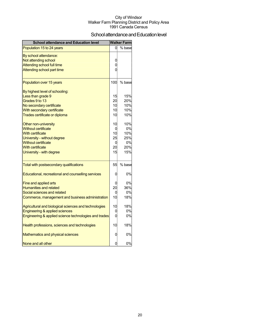## School attendance and Education level

| <b>School attendance and Education level</b>          |                | <b>Walker Farm</b> |
|-------------------------------------------------------|----------------|--------------------|
| Population 15 to 24 years                             | 0              | % base             |
| By school attendance:                                 |                |                    |
| Not attending school                                  | 0              |                    |
| Attending school full time                            | $\overline{0}$ |                    |
| Attending school part time                            | $\Omega$       |                    |
| Population over 15 years                              | 100            | % base             |
| By highest level of schooling:                        |                |                    |
| Less than grade 9                                     | 15             | 15%                |
| Grades 9 to 13                                        | 20             | 20%                |
| No secondary certificate                              | 10             | 10%                |
| With secondary certificate                            | 10             | 10%                |
| Trades certificate or diploma                         | 10             | 10%                |
| Other non-university                                  | 10             | 10%                |
| <b>Without certificate</b>                            | 0              | 0%                 |
| <b>With certificate</b>                               | 10             | 10%                |
| University - without degree                           | 25             | 25%                |
| <b>Without certificate</b>                            | 0              | 0%                 |
| <b>With certificate</b>                               | 20             | 20%                |
| University - with degree                              | 15             | 15%                |
| Total with postsecondary qualifications               | 55             | % base             |
| Educational, recreational and counselling services    | 0              | 0%                 |
| Fine and applied arts                                 | 0              | 0%                 |
| <b>Humanities and related</b>                         | 20             | 36%                |
| Social sciences and related                           | 0              | 0%                 |
| Commerce, management and business administration      | 10             | 18%                |
| Agricultural and biological sciences and technologies | 10             | 18%                |
| Engineering & applied sciences                        | 0              | 0%                 |
| Engineering & applied science technologies and trades | $\overline{0}$ | 0%                 |
| Health professions, sciences and technologies         | 10             | 18%                |
| Mathematics and physical sciences                     | 0              | 0%                 |
| None and all other                                    | 0              | 0%                 |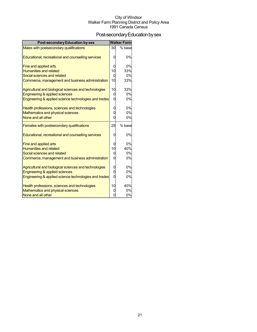## Post-secondary Education by sex

| <b>Post-secondary Education by sex</b>                |                | <b>Walker Farm</b> |
|-------------------------------------------------------|----------------|--------------------|
| Males with postsecondary qualifications               | 30             | % base             |
|                                                       | 0              | 0%                 |
| Educational, recreational and counselling services    |                |                    |
| Fine and applied arts                                 | 0              | 0%                 |
| <b>Humanities and related</b>                         | 10             | 33%                |
| Social sciences and related                           | 0              | 0%                 |
| Commerce, management and business administration      | 10             | 33%                |
| Agricultural and biological sciences and technologies | 10             | 33%                |
| Engineering & applied sciences                        | 0              | 0%                 |
| Engineering & applied science technologies and trades | 0              | 0%                 |
| Health professions, sciences and technologies         | 0              | 0%                 |
| Mathematics and physical sciences                     | 0              | 0%                 |
| None and all other                                    | 0              | 0%                 |
| Females with postsecondary qualifications             | 25             | % base             |
| Educational, recreational and counselling services    | 0              | 0%                 |
| Fine and applied arts                                 | 0              | 0%                 |
| <b>Humanities and related</b>                         | 10             | 40%                |
| Social sciences and related                           | 0              | 0%                 |
| Commerce, management and business administration      | 0              | 0%                 |
| Agricultural and biological sciences and technologies | 0              | 0%                 |
| Engineering & applied sciences                        | 0              | 0%                 |
| Engineering & applied science technologies and trades | $\Omega$       | 0%                 |
| Health professions, sciences and technologies         | 10             | 40%                |
| Mathematics and physical sciences                     | 0              | 0%                 |
| None and all other                                    | $\overline{0}$ | 0%                 |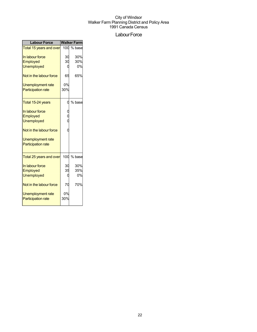### Labour Force

| <b>Labour Force</b>            | <b>Walker Farm</b> |          |  |
|--------------------------------|--------------------|----------|--|
| <b>Total 15 years and over</b> | 100                | $%$ base |  |
| In labour force                | 30                 | 30%      |  |
| Employed                       | 30                 | 30%      |  |
| <b>Unemployed</b>              |                    | 0%       |  |
| Not in the labour force        | 65                 | 65%      |  |
| Unemployment rate              | 0%                 |          |  |
| <b>Participation rate</b>      | 30%                |          |  |
| Total 15-24 years              | Ü                  | % base   |  |
| In labour force                |                    |          |  |
| Employed                       |                    |          |  |
| <b>Unemployed</b>              |                    |          |  |
| Not in the labour force        |                    |          |  |
| <b>Unemployment rate</b>       |                    |          |  |
| <b>Participation rate</b>      |                    |          |  |
| Total 25 years and over        | 100                | % base   |  |
| In labour force                | 30                 | 30%      |  |
| Employed                       | 35                 | 35%      |  |
| <b>Unemployed</b>              |                    | 0%       |  |
| Not in the labour force        | 70                 | 70%      |  |
| Unemployment rate              | 0%                 |          |  |
| <b>Participation rate</b>      | 30%                |          |  |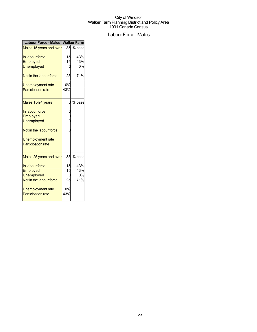## Labour Force - Males

| <b>Labour Force - Males Walker Farm</b> |               |           |  |
|-----------------------------------------|---------------|-----------|--|
| Males 15 years and over                 |               | 35 % base |  |
| In labour force                         | 15            | 43%       |  |
| Employed                                | 15            | 43%       |  |
| <b>Unemployed</b>                       | 0             | 0%        |  |
| Not in the labour force                 | 25            | 71%       |  |
| Unemployment rate                       | 0%            |           |  |
| <b>Participation rate</b>               | 43%           |           |  |
| Males 15-24 years                       | 0             | % base    |  |
| In labour force                         |               |           |  |
| Employed                                | $\frac{6}{1}$ |           |  |
| <b>Unemployed</b>                       |               |           |  |
| Not in the labour force                 |               |           |  |
| Unemployment rate                       |               |           |  |
| <b>Participation rate</b>               |               |           |  |
| Males 25 years and over                 | 35            | % base    |  |
| In labour force                         | 15            | 43%       |  |
| Employed                                | 15            | 43%       |  |
| Unemployed                              |               | 0%        |  |
| Not in the labour force                 | 25            | 71%       |  |
| Unemployment rate                       | 0%            |           |  |
| <b>Participation rate</b>               | 43%           |           |  |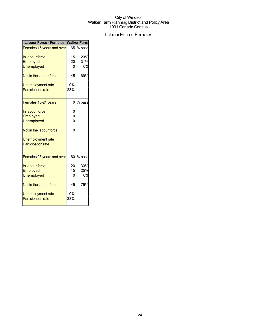## Labour Force - Females

| <b>Labour Force - Females Walker Farm</b> |     |          |  |
|-------------------------------------------|-----|----------|--|
| Females 15 years and over                 | 65  | $%$ base |  |
| In labour force                           | 15  | 23%      |  |
| Employed                                  | 20  | 31%      |  |
| <b>Unemployed</b>                         |     | 0%       |  |
| Not in the labour force                   | 45  | 69%      |  |
| Unemployment rate                         | 0%  |          |  |
| <b>Participation rate</b>                 | 23% |          |  |
| Females 15-24 years                       | O   | % base   |  |
| In labour force                           |     |          |  |
| Employed                                  |     |          |  |
| <b>Unemployed</b>                         |     |          |  |
| Not in the labour force                   |     |          |  |
| Unemployment rate                         |     |          |  |
| <b>Participation rate</b>                 |     |          |  |
| Females 25 years and over                 | 60  | % base   |  |
| In labour force                           | 20  | 33%      |  |
| Employed                                  | 15  | 25%      |  |
| <b>Unemployed</b>                         |     | 0%       |  |
| Not in the labour force                   | 45  | 75%      |  |
| Unemployment rate                         | 0%  |          |  |
| <b>Participation rate</b>                 | 33% |          |  |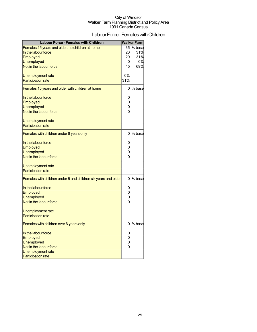## Labour Force - Females with Children

| <b>Labour Force - Females with Children</b>                    |     | <b>Walker Farm</b> |
|----------------------------------------------------------------|-----|--------------------|
| Females, 15 years and older, no children at home               | 65  | % base             |
| In the labour force                                            | 20  | 31%                |
| <b>Employed</b>                                                | 20  | 31%                |
| Unemployed                                                     | 0   | 0%                 |
| Not in the labour force                                        | 45  | 69%                |
| Unemployment rate                                              | 0%  |                    |
| <b>Participation rate</b>                                      | 31% |                    |
|                                                                |     |                    |
| Females 15 years and older with children at home               | 0   | % base             |
| In the labour force                                            | 0   |                    |
| Employed                                                       | 0   |                    |
| <b>Unemployed</b>                                              | 0   |                    |
| Not in the labour force                                        | 0   |                    |
| Unemployment rate                                              |     |                    |
| <b>Participation rate</b>                                      |     |                    |
| Females with children under 6 years only                       | 0   | % base             |
| In the labour force                                            | 0   |                    |
| <b>Employed</b>                                                | 0   |                    |
| <b>Unemployed</b>                                              | 0   |                    |
| Not in the labour force                                        | 0   |                    |
|                                                                |     |                    |
| Unemployment rate                                              |     |                    |
| <b>Participation rate</b>                                      |     |                    |
| Females with children under 6 and children six years and older | 0   | % base             |
| In the labour force                                            | 0   |                    |
| Employed                                                       | 0   |                    |
| <b>Unemployed</b>                                              | 0   |                    |
| Not in the labour force                                        | 0   |                    |
| Unemployment rate                                              |     |                    |
| <b>Participation rate</b>                                      |     |                    |
| Females with children over 6 years only                        | 0   | % base             |
| In the labour force                                            | 0   |                    |
| Employed                                                       | 0   |                    |
| <b>Unemployed</b>                                              | 0   |                    |
| Not in the labour force                                        | 0   |                    |
| Unemployment rate                                              |     |                    |
| <b>Participation rate</b>                                      |     |                    |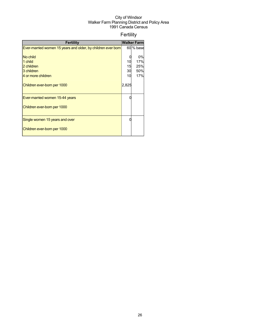## Fertility

| <b>Fertility</b>                                             |       | <b>Walker Farm</b> |
|--------------------------------------------------------------|-------|--------------------|
| Ever-married women 15 years and older, by children ever born |       | 60 % base          |
|                                                              |       |                    |
| No child                                                     |       | 0%                 |
| 1 child                                                      | 10    | 17%                |
| 2 children                                                   | 15    | 25%                |
| 3 children                                                   | 30    | 50%                |
| 4 or more children                                           | 10    | 17%                |
| Children ever-born per 1000                                  | 2,825 |                    |
| Ever-married women 15-44 years                               |       |                    |
| Children ever-born per 1000                                  |       |                    |
| Single women 15 years and over                               |       |                    |
| Children ever-born per 1000                                  |       |                    |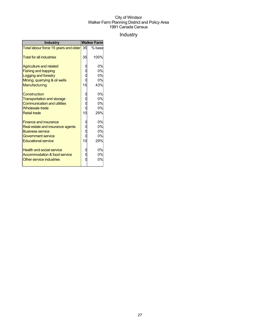## Industry

| <b>Industry</b>                                                                                                                                 | <b>Walker Farm</b> |                             |
|-------------------------------------------------------------------------------------------------------------------------------------------------|--------------------|-----------------------------|
| Total labour force 15 years and older 35                                                                                                        |                    | % base                      |
| <b>Total for all industries</b>                                                                                                                 | 35                 | 100%                        |
| <b>Agriculture and related</b><br><b>Fishing and trapping</b>                                                                                   |                    | 0%<br>0%                    |
| <b>Logging and forestry</b><br>Mining, quarrying & oil wells<br>Manufacturing                                                                   | 15                 | 0%<br>0%<br>43%             |
| <b>Construction</b><br><b>Transportation and storage</b><br><b>Communication and utilities</b><br><b>Wholesale trade</b><br><b>Retail trade</b> | 10                 | 0%<br>0%<br>0%<br>0%<br>29% |
| <b>Finance and insurance</b><br>Real estate and insurance agents<br><b>Business service</b><br>Government service<br><b>Educational service</b> | 10                 | 0%<br>0%<br>0%<br>0%<br>29% |
| <b>Health and social service</b><br>Accommodation & food service<br>Other service industries                                                    |                    | 0%<br>0%<br>0%              |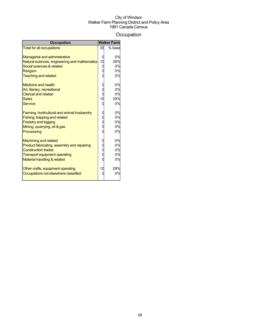## **Occupation**

| <b>Occupation</b>                                                                                                                                                                                                          |             | <b>Walker Farm</b>                      |
|----------------------------------------------------------------------------------------------------------------------------------------------------------------------------------------------------------------------------|-------------|-----------------------------------------|
| <b>Total for all occupations</b>                                                                                                                                                                                           | 35          | % base                                  |
| <b>Managerial and administrative</b><br>Natural sciences, engineering and mathematics<br>Social sciences & related<br>Religion<br><b>Teaching and related</b><br><b>Medicine and health</b><br>Art, literary, recreational | 10<br>0     | 0%<br>29%<br>0%<br>0%<br>0%<br>0%<br>0% |
| <b>Clerical and related</b><br><b>Sales</b>                                                                                                                                                                                | 10          | 0%<br>29%                               |
| Service                                                                                                                                                                                                                    |             | 0%                                      |
| Farming, horticultural and animal husbandry<br>Fishing, trapping and related<br><b>Forestry and logging</b><br>Mining, quarrying, oil & gas<br>Processing                                                                  | O<br>O<br>C | 0%<br>0%<br>0%<br>0%<br>0%              |
| <b>Machining and related</b><br>Product fabricating, assembly and repairing<br><b>Construction trades</b><br><b>Transport equipment operating</b><br>Material handling & related                                           | 0<br>С      | 0%<br>0%<br>0%<br>0%<br>0%              |
| Other crafts, equipment operating<br>Occupations not elsewhere classified                                                                                                                                                  | 10          | 29%<br>0%                               |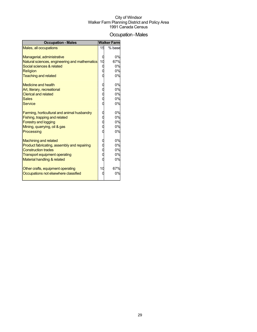## Occupation-Males

| <b>Occupation - Males</b>                                                                                                                                                                                 |             | <b>Walker Farm</b>                      |
|-----------------------------------------------------------------------------------------------------------------------------------------------------------------------------------------------------------|-------------|-----------------------------------------|
| Males, all occupations                                                                                                                                                                                    | 15          | % base                                  |
| Managerial, administrative<br>Natural sciences, engineering and mathematics<br>Social sciences & related<br>Religion<br><b>Teaching and related</b><br>Medicine and health<br>Art, literary, recreational | 10<br>0     | 0%<br>67%<br>0%<br>0%<br>0%<br>0%<br>0% |
| <b>Clerical and related</b>                                                                                                                                                                               |             | 0%                                      |
| <b>Sales</b><br><b>Service</b>                                                                                                                                                                            |             | 0%<br>0%                                |
| Farming, horticultural and animal husbandry<br>Fishing, trapping and related<br><b>Forestry and logging</b><br>Mining, quarrying, oil & gas<br>Processing                                                 | O<br>O<br>C | 0%<br>0%<br>0%<br>0%<br>0%              |
| <b>Machining and related</b><br>Product fabricating, assembly and repairing<br><b>Construction trades</b><br><b>Transport equipment operating</b><br>Material handling & related                          | 0<br>C      | 0%<br>0%<br>0%<br>0%<br>0%              |
| Other crafts, equipment operating<br>Occupations not elsewhere classified                                                                                                                                 | 10          | 67%<br>0%                               |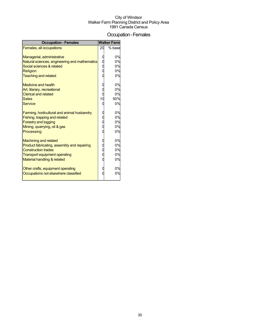### Occupation-Females

| <b>Occupation - Females</b>                                                                                                                                                                                                                                                       |    | <b>Walker Farm</b>                                        |
|-----------------------------------------------------------------------------------------------------------------------------------------------------------------------------------------------------------------------------------------------------------------------------------|----|-----------------------------------------------------------|
| Females, all occupations                                                                                                                                                                                                                                                          | 20 | % base                                                    |
| Managerial, administrative<br>Natural sciences, engineering and mathematics<br>Social sciences & related<br><b>Religion</b><br><b>Teaching and related</b><br>Medicine and health<br>Art, literary, recreational<br><b>Clerical and related</b><br><b>Sales</b><br><b>Service</b> | 10 | 0%<br>0%<br>0%<br>0%<br>0%<br>0%<br>0%<br>0%<br>50%<br>0% |
| Farming, horticultural and animal husbandry<br>Fishing, trapping and related<br><b>Forestry and logging</b><br>Mining, quarrying, oil & gas<br>Processing                                                                                                                         | ſ  | 0%<br>0%<br>0%<br>0%<br>0%                                |
| <b>Machining and related</b><br>Product fabricating, assembly and repairing<br><b>Construction trades</b><br><b>Transport equipment operating</b><br>Material handling & related                                                                                                  |    | 0%<br>0%<br>0%<br>0%<br>0%                                |
| Other crafts, equipment operating<br>Occupations not elsewhere classified                                                                                                                                                                                                         |    | 0%<br>0%                                                  |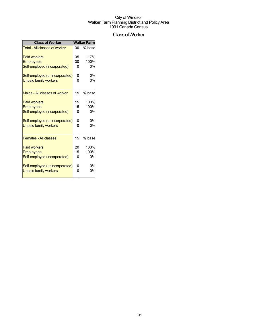## ClassofWorker

| <b>Class of Worker</b>         |    | <b>Walker Farm</b> |
|--------------------------------|----|--------------------|
| Total - All classes of worker  | 30 | % base             |
| <b>Paid workers</b>            | 35 | 117%               |
| <b>Employees</b>               | 30 | 100%               |
| Self-employed (incorporated)   |    | 0%                 |
| Self-employed (unincorporated) |    | 0%                 |
| <b>Unpaid family workers</b>   |    | 0%                 |
| Males - All classes of worker  | 15 | % base             |
| <b>Paid workers</b>            | 15 | 100%               |
| <b>Employees</b>               | 15 | 100%               |
| Self-employed (incorporated)   |    | 0%                 |
| Self-employed (unincorporated) |    | 0%                 |
| <b>Unpaid family workers</b>   |    | 0%                 |
| <b>Females - All classes</b>   | 15 | % base             |
| <b>Paid workers</b>            | 20 | 133%               |
| <b>Employees</b>               |    | 100%               |
| Self-employed (incorporated)   |    | 0%                 |
| Self-employed (unincorporated) |    | 0%                 |
| <b>Unpaid family workers</b>   |    | 0%                 |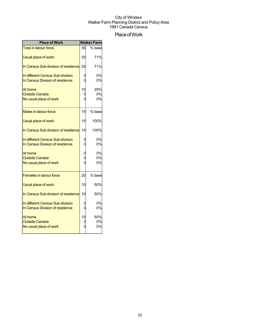## Place of Work

| <b>Place of Work</b>                                                |    | <b>Walker Farm</b> |
|---------------------------------------------------------------------|----|--------------------|
| <b>Total in labour force</b>                                        | 35 | % base             |
| Usual place of work:                                                | 25 | 71%                |
| In Census Sub-division of residence                                 | 25 | 71%                |
| In different Census Sub-division<br>In Census Division of residence |    | 0%<br>0%           |
|                                                                     |    |                    |
| At home                                                             | 10 | 29%                |
| <b>Outside Canada</b>                                               | 0  | 0%                 |
| No usual place of work                                              | ſ  | 0%                 |
| Males in labour force                                               | 15 | % base             |
| Usual place of work:                                                | 15 | 100%               |
| In Census Sub-division of residence                                 | 15 | 100%               |
| In different Census Sub-division                                    |    | 0%                 |
| In Census Division of residence                                     |    | 0%                 |
| At home                                                             |    | 0%                 |
| <b>Outside Canada</b>                                               |    | 0%                 |
| No usual place of work                                              |    | 0%                 |
| <b>Females in labour force</b>                                      | 20 | % base             |
| Usual place of work:                                                | 10 | 50%                |
| In Census Sub-division of residence                                 | 10 | 50%                |
| In different Census Sub-division                                    |    | 0%                 |
| In Census Division of residence                                     | C  | 0%                 |
| At home                                                             | 10 | 50%                |
| <b>Outside Canada</b>                                               |    | 0%                 |
| No usual place of work                                              |    | 0%                 |
|                                                                     |    |                    |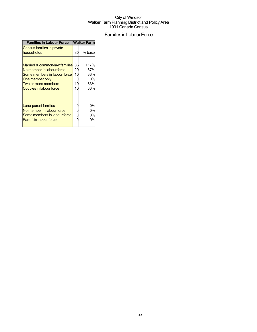## Families in Labour Force

| <b>Families in Labour Force</b>                                                                                                                                           | <b>Walker Farm</b>   |                                        |  |
|---------------------------------------------------------------------------------------------------------------------------------------------------------------------------|----------------------|----------------------------------------|--|
| Census families in private<br>households                                                                                                                                  | 30                   | % base                                 |  |
| Married & common-law families 35<br>No member in labour force<br>Some members in labour force<br>One member only<br><b>Two or more members</b><br>Couples in labour force | 20<br>10<br>10<br>10 | 117%<br>67%<br>33%<br>0%<br>33%<br>33% |  |
| Lone-parent families<br>No member in labour force<br>Some members in labour force<br><b>Parent in labour force</b>                                                        | 0<br>0<br>0          | 0%<br>0%<br>0%<br>0%                   |  |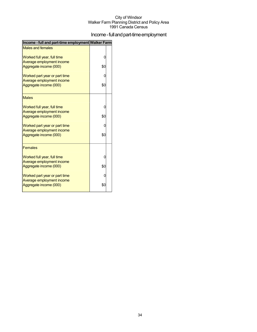## Income - full and part-time employment

| Income - full and part-time employment Walker Farm |     |  |
|----------------------------------------------------|-----|--|
| <b>Males and females</b>                           |     |  |
| Worked full year, full time                        | 0   |  |
| Average employment income                          |     |  |
| Aggregate income (000)                             | \$0 |  |
| Worked part year or part time                      | 0   |  |
| Average employment income                          |     |  |
| Aggregate income (000)                             | \$0 |  |
| <b>Males</b>                                       |     |  |
| Worked full year, full time                        | 0   |  |
| Average employment income                          |     |  |
| Aggregate income (000)                             | \$0 |  |
| Worked part year or part time                      | 0   |  |
| Average employment income                          |     |  |
| Aggregate income (000)                             | \$0 |  |
| <b>Females</b>                                     |     |  |
| Worked full year, full time                        | 0   |  |
| Average employment income                          |     |  |
| Aggregate income (000)                             | \$0 |  |
| Worked part year or part time                      | 0   |  |
| Average employment income                          |     |  |
| Aggregate income (000)                             | \$0 |  |
|                                                    |     |  |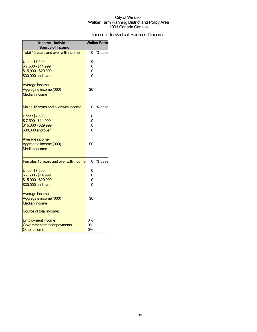## Income - Individual Source of Income

| Income - Individual<br><b>Source of Income</b>                                         |                | <b>Walker Farm</b> |
|----------------------------------------------------------------------------------------|----------------|--------------------|
| Total 15 years and over with income                                                    |                | % base             |
| <b>Under \$7,500</b><br>\$7,500 - \$14,999<br>\$15,000 - \$29,999<br>\$30,000 and over |                |                    |
| Average income<br>Aggregate income (000)<br><b>Median income</b>                       | \$0            |                    |
| Males 15 years and over with income                                                    | 0              | % base             |
| <b>Under \$7,500</b><br>\$7,500 - \$14,999<br>\$15,000 - \$29,999<br>\$30,000 and over |                |                    |
| Average income<br>Aggregate income (000)<br><b>Median income</b>                       | \$С            |                    |
| Females 15 years and over with income                                                  |                | % base             |
| <b>Under \$7,500</b><br>\$7,500 - \$14,999<br>\$15,000 - \$29,999<br>\$30,000 and over |                |                    |
| Average income<br>Aggregate income (000)<br><b>Median income</b>                       | \$0            |                    |
| Source of total income:                                                                |                |                    |
| <b>Employment income</b><br>Government transfer payments<br><b>Other income</b>        | 0%<br>0%<br>0% |                    |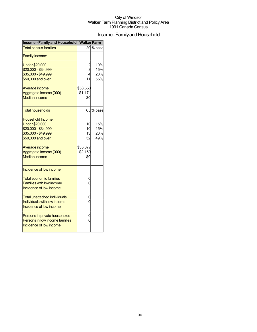## Income - Family and Household

| Income - Family and Household Walker Farm |                 |           |  |
|-------------------------------------------|-----------------|-----------|--|
| <b>Total census families</b>              |                 | 20 % base |  |
| <b>Family Income:</b>                     |                 |           |  |
| <b>Under \$20,000</b>                     |                 | 10%       |  |
| \$20,000 - \$34,999                       | $\frac{2}{3}$   | 15%       |  |
| \$35,000 - \$49,999                       | $\overline{4}$  | 20%       |  |
| \$50,000 and over                         | 11              | 55%       |  |
| Average income                            | \$58,550        |           |  |
| Aggregate income (000)                    | \$1,171         |           |  |
| <b>Median income</b>                      | \$0             |           |  |
| <b>Total households</b>                   |                 | 65 % base |  |
| Household Income:                         |                 |           |  |
| <b>Under \$20,000</b>                     | 10              | 15%       |  |
| \$20,000 - \$34,999                       | 10              | 15%       |  |
| \$35,000 - \$49,999                       | 13              | 20%       |  |
| \$50,000 and over                         | 32 <sup>1</sup> | 49%       |  |
| Average income                            | \$33,077        |           |  |
| Aggregate income (000)                    | \$2,150         |           |  |
| <b>Median income</b>                      | \$0             |           |  |
| Incidence of low income:                  |                 |           |  |
| <b>Total economic families</b>            | 0               |           |  |
| <b>Families with low income</b>           | 0               |           |  |
| Incidence of low income                   |                 |           |  |
| Total unattached individuals              | 0               |           |  |
| <b>Individuals with low income</b>        | 0               |           |  |
| Incidence of low income                   |                 |           |  |
| Persons in private households             | 0               |           |  |
| Persons in low income families            | 0               |           |  |
| Incidence of low income                   |                 |           |  |